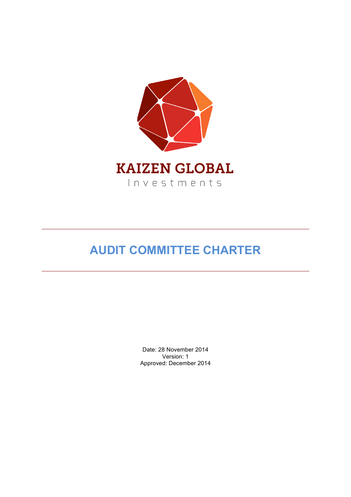

# **AUDIT COMMITTEE CHARTER**

Date: 28 November 2014 Version: 1 Approved: December 2014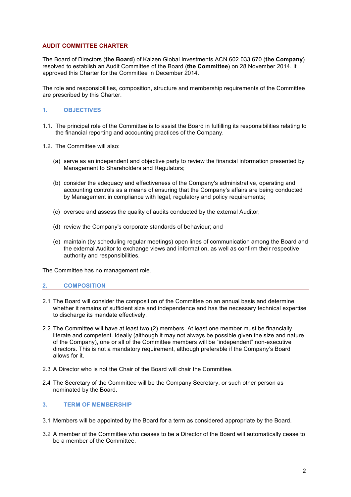# **AUDIT COMMITTEE CHARTER**

The Board of Directors (**the Board**) of Kaizen Global Investments ACN 602 033 670 (**the Company**) resolved to establish an Audit Committee of the Board (**the Committee**) on 28 November 2014. It approved this Charter for the Committee in December 2014.

The role and responsibilities, composition, structure and membership requirements of the Committee are prescribed by this Charter.

## **1. OBJECTIVES**

- 1.1. The principal role of the Committee is to assist the Board in fulfilling its responsibilities relating to the financial reporting and accounting practices of the Company.
- 1.2. The Committee will also:
	- (a) serve as an independent and objective party to review the financial information presented by Management to Shareholders and Regulators;
	- (b) consider the adequacy and effectiveness of the Company's administrative, operating and accounting controls as a means of ensuring that the Company's affairs are being conducted by Management in compliance with legal, regulatory and policy requirements;
	- (c) oversee and assess the quality of audits conducted by the external Auditor;
	- (d) review the Company's corporate standards of behaviour; and
	- (e) maintain (by scheduling regular meetings) open lines of communication among the Board and the external Auditor to exchange views and information, as well as confirm their respective authority and responsibilities.

The Committee has no management role.

#### **2. COMPOSITION**

- 2.1 The Board will consider the composition of the Committee on an annual basis and determine whether it remains of sufficient size and independence and has the necessary technical expertise to discharge its mandate effectively.
- 2.2 The Committee will have at least two (2) members. At least one member must be financially literate and competent. Ideally (although it may not always be possible given the size and nature of the Company), one or all of the Committee members will be "independent" non-executive directors. This is not a mandatory requirement, although preferable if the Company's Board allows for it.
- 2.3 A Director who is not the Chair of the Board will chair the Committee.
- 2.4 The Secretary of the Committee will be the Company Secretary, or such other person as nominated by the Board.

#### **3. TERM OF MEMBERSHIP**

- 3.1 Members will be appointed by the Board for a term as considered appropriate by the Board.
- 3.2 A member of the Committee who ceases to be a Director of the Board will automatically cease to be a member of the Committee.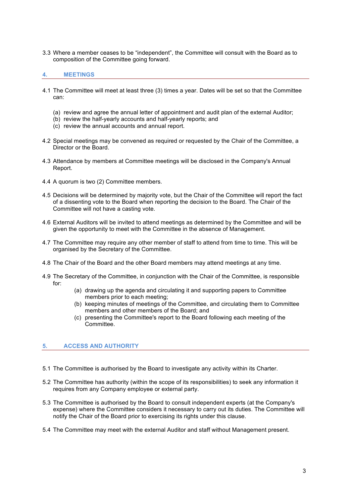3.3 Where a member ceases to be "independent", the Committee will consult with the Board as to composition of the Committee going forward.

# **4. MEETINGS**

- 4.1 The Committee will meet at least three (3) times a year. Dates will be set so that the Committee can:
	- (a) review and agree the annual letter of appointment and audit plan of the external Auditor;
	- (b) review the half-yearly accounts and half-yearly reports; and
	- (c) review the annual accounts and annual report.
- 4.2 Special meetings may be convened as required or requested by the Chair of the Committee, a Director or the Board.
- 4.3 Attendance by members at Committee meetings will be disclosed in the Company's Annual Report.
- 4.4 A quorum is two (2) Committee members.
- 4.5 Decisions will be determined by majority vote, but the Chair of the Committee will report the fact of a dissenting vote to the Board when reporting the decision to the Board. The Chair of the Committee will not have a casting vote.
- 4.6 External Auditors will be invited to attend meetings as determined by the Committee and will be given the opportunity to meet with the Committee in the absence of Management.
- 4.7 The Committee may require any other member of staff to attend from time to time. This will be organised by the Secretary of the Committee.
- 4.8 The Chair of the Board and the other Board members may attend meetings at any time.
- 4.9 The Secretary of the Committee, in conjunction with the Chair of the Committee, is responsible for:
	- (a) drawing up the agenda and circulating it and supporting papers to Committee members prior to each meeting;
	- (b) keeping minutes of meetings of the Committee, and circulating them to Committee members and other members of the Board; and
	- (c) presenting the Committee's report to the Board following each meeting of the Committee.

# **5. ACCESS AND AUTHORITY**

- 5.1 The Committee is authorised by the Board to investigate any activity within its Charter.
- 5.2 The Committee has authority (within the scope of its responsibilities) to seek any information it requires from any Company employee or external party.
- 5.3 The Committee is authorised by the Board to consult independent experts (at the Company's expense) where the Committee considers it necessary to carry out its duties. The Committee will notify the Chair of the Board prior to exercising its rights under this clause.
- 5.4 The Committee may meet with the external Auditor and staff without Management present.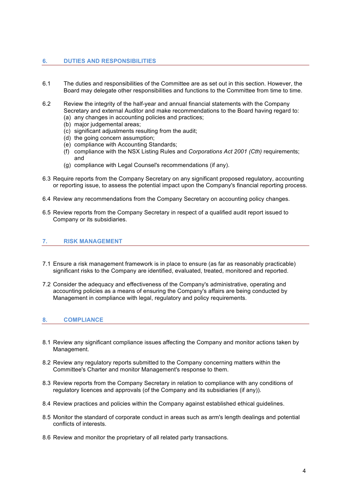## **6. DUTIES AND RESPONSIBILITIES**

- 6.1 The duties and responsibilities of the Committee are as set out in this section. However, the Board may delegate other responsibilities and functions to the Committee from time to time.
- 6.2 Review the integrity of the half-year and annual financial statements with the Company Secretary and external Auditor and make recommendations to the Board having regard to:
	- (a) any changes in accounting policies and practices;
	- (b) major judgemental areas;
	- (c) significant adjustments resulting from the audit;
	- (d) the going concern assumption;
	- (e) compliance with Accounting Standards;
	- (f) compliance with the NSX Listing Rules and *Corporations Act 2001 (Cth)* requirements; and
	- (g) compliance with Legal Counsel's recommendations (if any).
- 6.3 Require reports from the Company Secretary on any significant proposed regulatory, accounting or reporting issue, to assess the potential impact upon the Company's financial reporting process.
- 6.4 Review any recommendations from the Company Secretary on accounting policy changes.
- 6.5 Review reports from the Company Secretary in respect of a qualified audit report issued to Company or its subsidiaries.

#### **7. RISK MANAGEMENT**

- 7.1 Ensure a risk management framework is in place to ensure (as far as reasonably practicable) significant risks to the Company are identified, evaluated, treated, monitored and reported.
- 7.2 Consider the adequacy and effectiveness of the Company's administrative, operating and accounting policies as a means of ensuring the Company's affairs are being conducted by Management in compliance with legal, regulatory and policy requirements.

#### **8. COMPLIANCE**

- 8.1 Review any significant compliance issues affecting the Company and monitor actions taken by Management.
- 8.2 Review any regulatory reports submitted to the Company concerning matters within the Committee's Charter and monitor Management's response to them.
- 8.3 Review reports from the Company Secretary in relation to compliance with any conditions of regulatory licences and approvals (of the Company and its subsidiaries (if any)).
- 8.4 Review practices and policies within the Company against established ethical guidelines.
- 8.5 Monitor the standard of corporate conduct in areas such as arm's length dealings and potential conflicts of interests.
- 8.6 Review and monitor the proprietary of all related party transactions.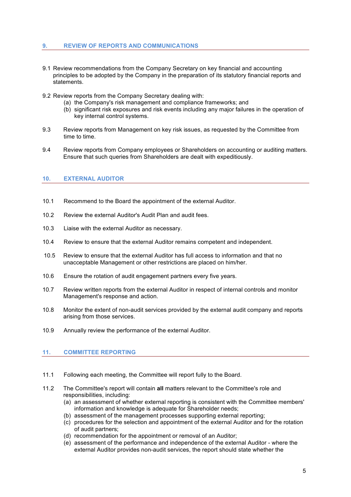# **9. REVIEW OF REPORTS AND COMMUNICATIONS**

- 9.1 Review recommendations from the Company Secretary on key financial and accounting principles to be adopted by the Company in the preparation of its statutory financial reports and statements.
- 9.2 Review reports from the Company Secretary dealing with:
	- (a) the Company's risk management and compliance frameworks; and
	- (b) significant risk exposures and risk events including any major failures in the operation of key internal control systems.
- 9.3 Review reports from Management on key risk issues, as requested by the Committee from time to time.
- 9.4 Review reports from Company employees or Shareholders on accounting or auditing matters. Ensure that such queries from Shareholders are dealt with expeditiously.

# **10. EXTERNAL AUDITOR**

- 10.1 Recommend to the Board the appointment of the external Auditor.
- 10.2 Review the external Auditor's Audit Plan and audit fees.
- 10.3 Liaise with the external Auditor as necessary.
- 10.4 Review to ensure that the external Auditor remains competent and independent.
- 10.5 Review to ensure that the external Auditor has full access to information and that no unacceptable Management or other restrictions are placed on him/her.
- 10.6 Ensure the rotation of audit engagement partners every five years.
- 10.7 Review written reports from the external Auditor in respect of internal controls and monitor Management's response and action.
- 10.8 Monitor the extent of non-audit services provided by the external audit company and reports arising from those services.
- 10.9 Annually review the performance of the external Auditor.

# **11. COMMITTEE REPORTING**

- 11.1 Following each meeting, the Committee will report fully to the Board.
- 11.2 The Committee's report will contain **all** matters relevant to the Committee's role and responsibilities, including:
	- (a) an assessment of whether external reporting is consistent with the Committee members' information and knowledge is adequate for Shareholder needs;
	- (b) assessment of the management processes supporting external reporting;
	- (c) procedures for the selection and appointment of the external Auditor and for the rotation of audit partners;
	- (d) recommendation for the appointment or removal of an Auditor;
	- (e) assessment of the performance and independence of the external Auditor where the external Auditor provides non-audit services, the report should state whether the